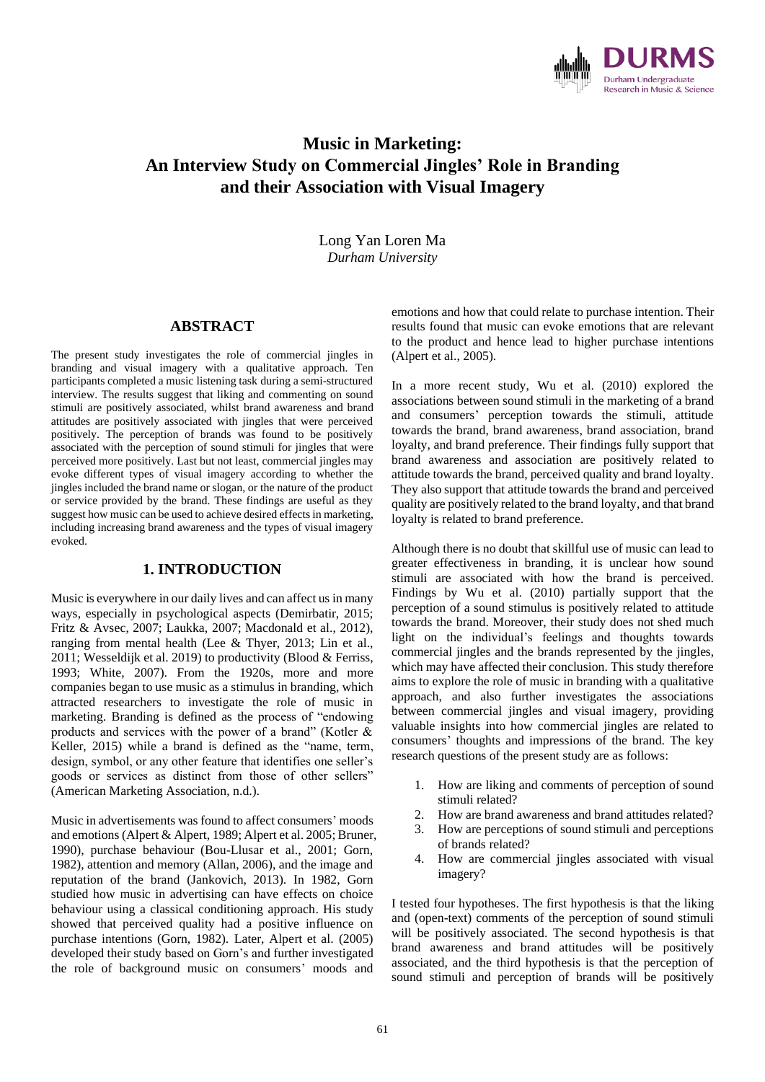

# **Music in Marketing: An Interview Study on Commercial Jingles' Role in Branding and their Association with Visual Imagery**

Long Yan Loren Ma *Durham University*

## **ABSTRACT**

The present study investigates the role of commercial jingles in branding and visual imagery with a qualitative approach. Ten participants completed a music listening task during a semi-structured interview. The results suggest that liking and commenting on sound stimuli are positively associated, whilst brand awareness and brand attitudes are positively associated with jingles that were perceived positively. The perception of brands was found to be positively associated with the perception of sound stimuli for jingles that were perceived more positively. Last but not least, commercial jingles may evoke different types of visual imagery according to whether the jingles included the brand name or slogan, or the nature of the product or service provided by the brand. These findings are useful as they suggest how music can be used to achieve desired effects in marketing, including increasing brand awareness and the types of visual imagery evoked.

### **1. INTRODUCTION**

Music is everywhere in our daily lives and can affect us in many ways, especially in psychological aspects (Demirbatir, 2015; Fritz & Avsec, 2007; Laukka, 2007; Macdonald et al., 2012), ranging from mental health (Lee & Thyer, 2013; Lin et al., 2011; Wesseldijk et al. 2019) to productivity (Blood & Ferriss, 1993; White, 2007). From the 1920s, more and more companies began to use music as a stimulus in branding, which attracted researchers to investigate the role of music in marketing. Branding is defined as the process of "endowing products and services with the power of a brand" (Kotler & Keller, 2015) while a brand is defined as the "name, term, design, symbol, or any other feature that identifies one seller's goods or services as distinct from those of other sellers" (American Marketing Association, n.d.).

Music in advertisements was found to affect consumers' moods and emotions (Alpert & Alpert, 1989; Alpert et al. 2005; Bruner, 1990), purchase behaviour (Bou-Llusar et al., 2001; Gorn, 1982), attention and memory (Allan, 2006), and the image and reputation of the brand (Jankovich, 2013). In 1982, Gorn studied how music in advertising can have effects on choice behaviour using a classical conditioning approach. His study showed that perceived quality had a positive influence on purchase intentions (Gorn, 1982). Later, Alpert et al. (2005) developed their study based on Gorn's and further investigated the role of background music on consumers' moods and

emotions and how that could relate to purchase intention. Their results found that music can evoke emotions that are relevant to the product and hence lead to higher purchase intentions (Alpert et al., 2005).

In a more recent study, Wu et al. (2010) explored the associations between sound stimuli in the marketing of a brand and consumers' perception towards the stimuli, attitude towards the brand, brand awareness, brand association, brand loyalty, and brand preference. Their findings fully support that brand awareness and association are positively related to attitude towards the brand, perceived quality and brand loyalty. They also support that attitude towards the brand and perceived quality are positively related to the brand loyalty, and that brand loyalty is related to brand preference.

Although there is no doubt that skillful use of music can lead to greater effectiveness in branding, it is unclear how sound stimuli are associated with how the brand is perceived. Findings by Wu et al. (2010) partially support that the perception of a sound stimulus is positively related to attitude towards the brand. Moreover, their study does not shed much light on the individual's feelings and thoughts towards commercial jingles and the brands represented by the jingles, which may have affected their conclusion. This study therefore aims to explore the role of music in branding with a qualitative approach, and also further investigates the associations between commercial jingles and visual imagery, providing valuable insights into how commercial jingles are related to consumers' thoughts and impressions of the brand. The key research questions of the present study are as follows:

- 1. How are liking and comments of perception of sound stimuli related?
- 2. How are brand awareness and brand attitudes related?
- 3. How are perceptions of sound stimuli and perceptions of brands related?
- 4. How are commercial jingles associated with visual imagery?

I tested four hypotheses. The first hypothesis is that the liking and (open-text) comments of the perception of sound stimuli will be positively associated. The second hypothesis is that brand awareness and brand attitudes will be positively associated, and the third hypothesis is that the perception of sound stimuli and perception of brands will be positively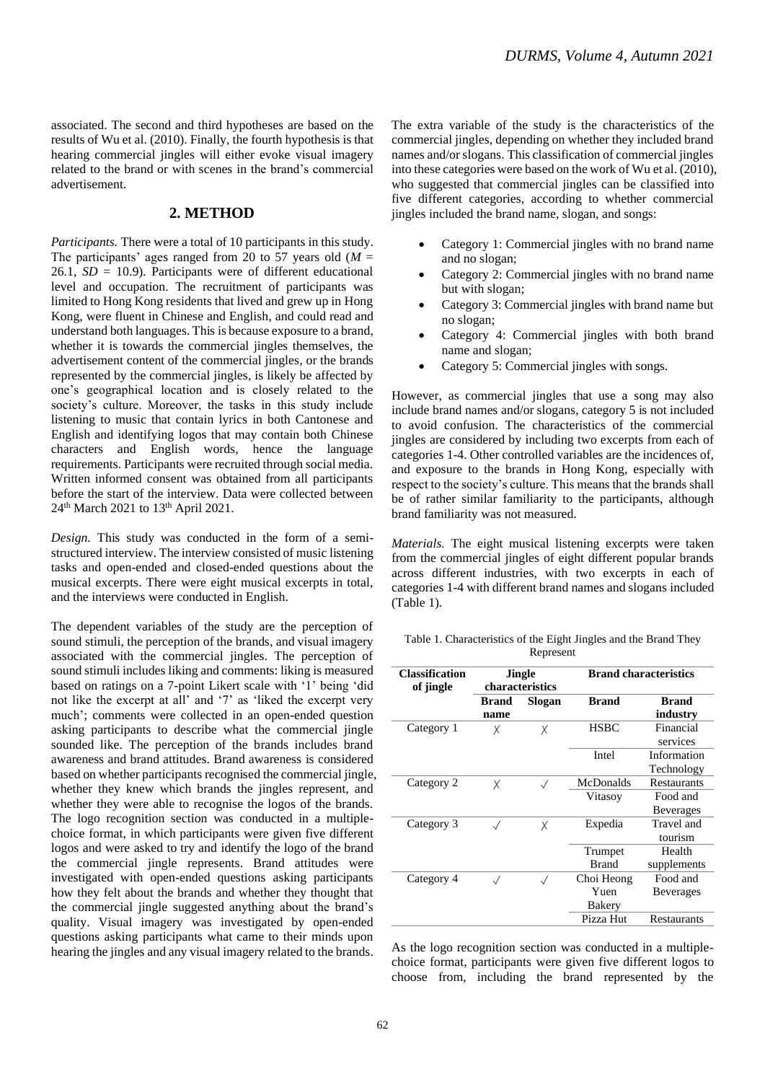associated. The second and third hypotheses are based on the results of Wu et al. (2010). Finally, the fourth hypothesis is that hearing commercial jingles will either evoke visual imagery related to the brand or with scenes in the brand's commercial advertisement.

# **2. METHOD**

*Participants.* There were a total of 10 participants in this study. The participants' ages ranged from 20 to 57 years old  $(M =$ 26.1, *SD* = 10.9). Participants were of different educational level and occupation. The recruitment of participants was limited to Hong Kong residents that lived and grew up in Hong Kong, were fluent in Chinese and English, and could read and understand both languages. This is because exposure to a brand, whether it is towards the commercial jingles themselves, the advertisement content of the commercial jingles, or the brands represented by the commercial jingles, is likely be affected by one's geographical location and is closely related to the society's culture. Moreover, the tasks in this study include listening to music that contain lyrics in both Cantonese and English and identifying logos that may contain both Chinese characters and English words, hence the language requirements. Participants were recruited through social media. Written informed consent was obtained from all participants before the start of the interview. Data were collected between 24<sup>th</sup> March 2021 to 13<sup>th</sup> April 2021.

*Design.* This study was conducted in the form of a semistructured interview. The interview consisted of music listening tasks and open-ended and closed-ended questions about the musical excerpts. There were eight musical excerpts in total, and the interviews were conducted in English.

The dependent variables of the study are the perception of sound stimuli, the perception of the brands, and visual imagery associated with the commercial jingles. The perception of sound stimuli includes liking and comments: liking is measured based on ratings on a 7-point Likert scale with '1' being 'did not like the excerpt at all' and '7' as 'liked the excerpt very much'; comments were collected in an open-ended question asking participants to describe what the commercial jingle sounded like. The perception of the brands includes brand awareness and brand attitudes. Brand awareness is considered based on whether participants recognised the commercial jingle, whether they knew which brands the jingles represent, and whether they were able to recognise the logos of the brands. The logo recognition section was conducted in a multiplechoice format, in which participants were given five different logos and were asked to try and identify the logo of the brand the commercial jingle represents. Brand attitudes were investigated with open-ended questions asking participants how they felt about the brands and whether they thought that the commercial jingle suggested anything about the brand's quality. Visual imagery was investigated by open-ended questions asking participants what came to their minds upon hearing the jingles and any visual imagery related to the brands.

The extra variable of the study is the characteristics of the commercial jingles, depending on whether they included brand names and/or slogans. This classification of commercial jingles into these categories were based on the work of Wu et al. (2010), who suggested that commercial jingles can be classified into five different categories, according to whether commercial jingles included the brand name, slogan, and songs:

- Category 1: Commercial jingles with no brand name and no slogan;
- Category 2: Commercial jingles with no brand name but with slogan;
- Category 3: Commercial jingles with brand name but no slogan;
- Category 4: Commercial jingles with both brand name and slogan;
- Category 5: Commercial jingles with songs.

However, as commercial jingles that use a song may also include brand names and/or slogans, category 5 is not included to avoid confusion. The characteristics of the commercial jingles are considered by including two excerpts from each of categories 1-4. Other controlled variables are the incidences of, and exposure to the brands in Hong Kong, especially with respect to the society's culture. This means that the brands shall be of rather similar familiarity to the participants, although brand familiarity was not measured.

*Materials.* The eight musical listening excerpts were taken from the commercial jingles of eight different popular brands across different industries, with two excerpts in each of categories 1-4 with different brand names and slogans included (Table 1).

| Table 1. Characteristics of the Eight Jingles and the Brand They |  |
|------------------------------------------------------------------|--|
| Represent                                                        |  |

| <b>Classification</b><br>of jingle | <b>Jingle</b><br>characteristics |           |                              | <b>Brand characteristics</b> |
|------------------------------------|----------------------------------|-----------|------------------------------|------------------------------|
|                                    | Brand<br>name                    | Slogan    | <b>Brand</b>                 | <b>Brand</b><br>industry     |
| Category 1                         | Χ                                | X         | <b>HSBC</b>                  | Financial<br>services        |
|                                    |                                  |           | Intel                        | Information<br>Technology    |
| Category 2                         | X                                | $\sqrt{}$ | McDonalds                    | <b>Restaurants</b>           |
|                                    |                                  |           | Vitasov                      | Food and<br><b>Beverages</b> |
| Category 3                         | $\sqrt{}$                        | Χ         | Expedia                      | Travel and<br>tourism        |
|                                    |                                  |           | Trumpet<br><b>Brand</b>      | Health<br>supplements        |
| Category 4                         |                                  |           | Choi Heong<br>Yuen<br>Bakery | Food and<br><b>Beverages</b> |
|                                    |                                  |           | Pizza Hut                    | Restaurants                  |

As the logo recognition section was conducted in a multiplechoice format, participants were given five different logos to choose from, including the brand represented by the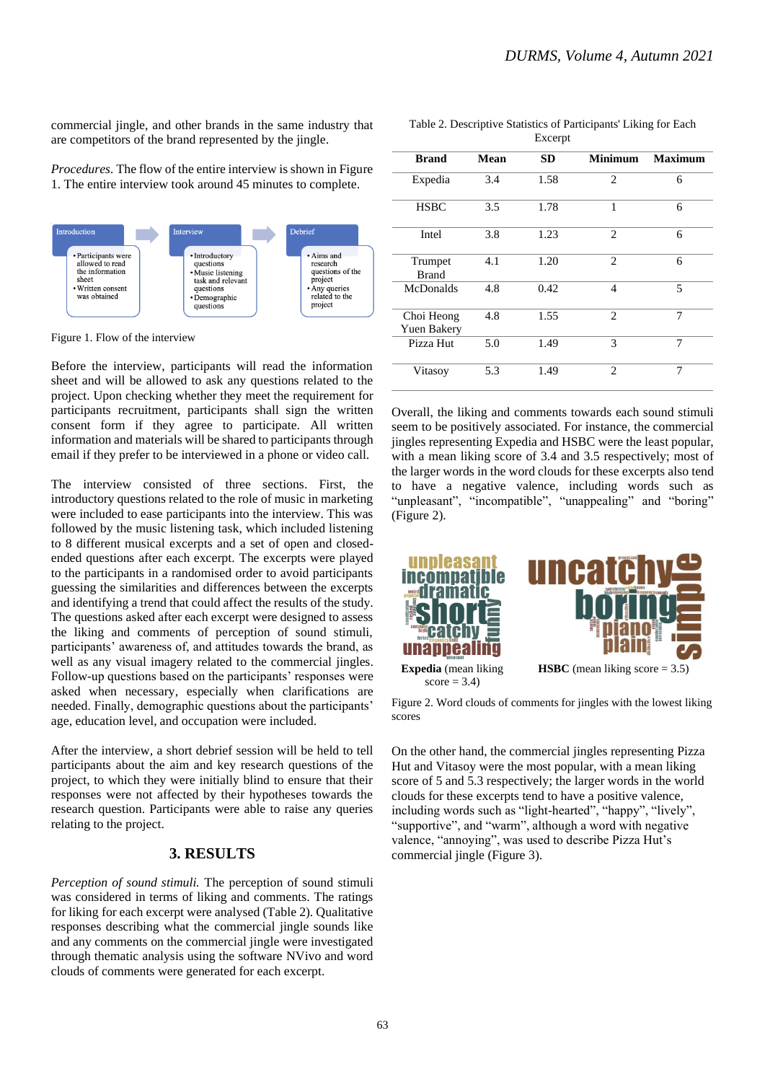commercial jingle, and other brands in the same industry that are competitors of the brand represented by the jingle.

*Procedures.* The flow of the entire interview is shown in Figure 1. The entire interview took around 45 minutes to complete.



Figure 1. Flow of the interview

Before the interview, participants will read the information sheet and will be allowed to ask any questions related to the project. Upon checking whether they meet the requirement for participants recruitment, participants shall sign the written consent form if they agree to participate. All written information and materials will be shared to participants through email if they prefer to be interviewed in a phone or video call.

The interview consisted of three sections. First, the introductory questions related to the role of music in marketing were included to ease participants into the interview. This was followed by the music listening task, which included listening to 8 different musical excerpts and a set of open and closedended questions after each excerpt. The excerpts were played to the participants in a randomised order to avoid participants guessing the similarities and differences between the excerpts and identifying a trend that could affect the results of the study. The questions asked after each excerpt were designed to assess the liking and comments of perception of sound stimuli, participants' awareness of, and attitudes towards the brand, as well as any visual imagery related to the commercial jingles. Follow-up questions based on the participants' responses were asked when necessary, especially when clarifications are needed. Finally, demographic questions about the participants' age, education level, and occupation were included.

After the interview, a short debrief session will be held to tell participants about the aim and key research questions of the project, to which they were initially blind to ensure that their responses were not affected by their hypotheses towards the research question. Participants were able to raise any queries relating to the project.

### **3. RESULTS**

*Perception of sound stimuli.* The perception of sound stimuli was considered in terms of liking and comments. The ratings for liking for each excerpt were analysed (Table 2). Qualitative responses describing what the commercial jingle sounds like and any comments on the commercial jingle were investigated through thematic analysis using the software NVivo and word clouds of comments were generated for each excerpt.

Table 2. Descriptive Statistics of Participants' Liking for Each Excerp

|                                  |      | <b>EACCIPL</b> |                |                |
|----------------------------------|------|----------------|----------------|----------------|
| <b>Brand</b>                     | Mean | <b>SD</b>      | <b>Minimum</b> | <b>Maximum</b> |
| Expedia                          | 3.4  | 1.58           | 2              | 6              |
| <b>HSBC</b>                      | 3.5  | 1.78           | 1              | 6              |
| Intel                            | 3.8  | 1.23           | $\overline{c}$ | 6              |
| Trumpet<br><b>Brand</b>          | 4.1  | 1.20           | $\overline{c}$ | 6              |
| <b>McDonalds</b>                 | 4.8  | 0.42           | $\overline{4}$ | 5              |
| Choi Heong<br><b>Yuen Bakery</b> | 4.8  | 1.55           | $\mathfrak{D}$ | 7              |
| Pizza Hut                        | 5.0  | 1.49           | 3              | 7              |
| Vitasoy                          | 5.3  | 1.49           | $\overline{c}$ | 7              |

Overall, the liking and comments towards each sound stimuli seem to be positively associated. For instance, the commercial jingles representing Expedia and HSBC were the least popular, with a mean liking score of 3.4 and 3.5 respectively; most of the larger words in the word clouds for these excerpts also tend to have a negative valence, including words such as "unpleasant", "incompatible", "unappealing" and "boring" (Figure 2).



Figure 2. Word clouds of comments for jingles with the lowest liking scores

On the other hand, the commercial jingles representing Pizza Hut and Vitasoy were the most popular, with a mean liking score of 5 and 5.3 respectively; the larger words in the world clouds for these excerpts tend to have a positive valence, including words such as "light-hearted", "happy", "lively", "supportive", and "warm", although a word with negative valence, "annoying", was used to describe Pizza Hut's commercial jingle (Figure 3).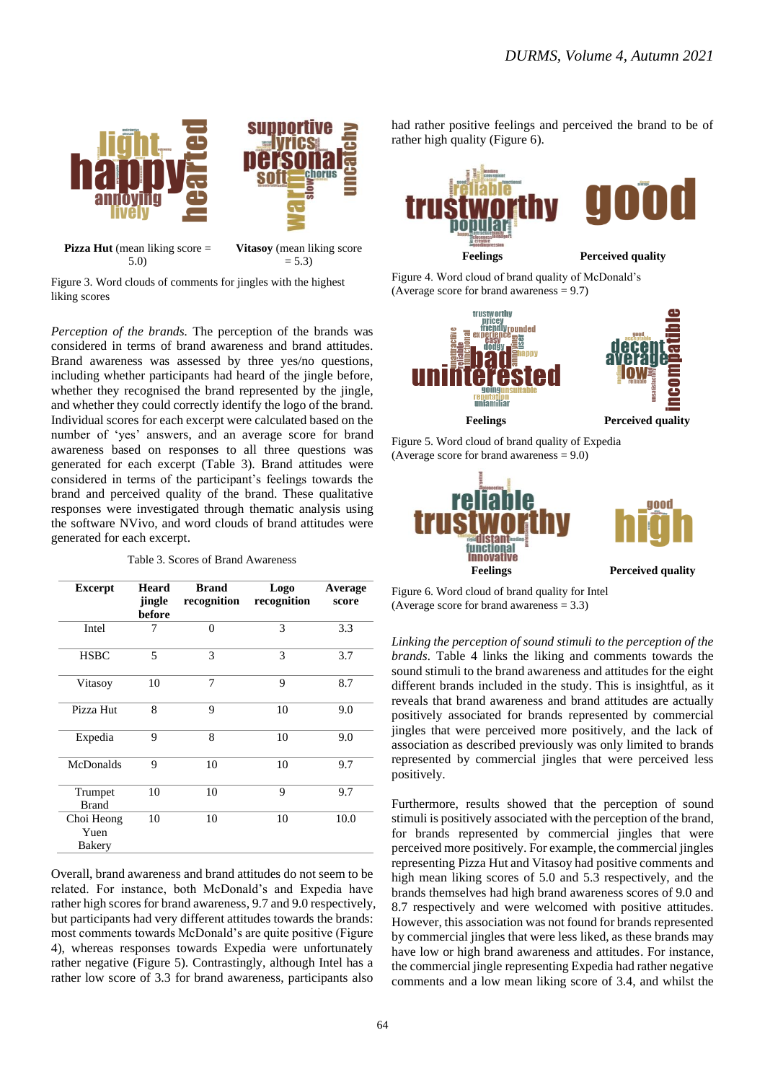

5.0)

 $= 5.3$ 

Figure 3. Word clouds of comments for jingles with the highest liking scores

*Perception of the brands.* The perception of the brands was considered in terms of brand awareness and brand attitudes. Brand awareness was assessed by three yes/no questions, including whether participants had heard of the jingle before, whether they recognised the brand represented by the jingle, and whether they could correctly identify the logo of the brand. Individual scores for each excerpt were calculated based on the number of 'yes' answers, and an average score for brand awareness based on responses to all three questions was generated for each excerpt (Table 3). Brand attitudes were considered in terms of the participant's feelings towards the brand and perceived quality of the brand. These qualitative responses were investigated through thematic analysis using the software NVivo, and word clouds of brand attitudes were generated for each excerpt.

Table 3. Scores of Brand Awareness

| <b>Excerpt</b>               | <b>Heard</b><br>jingle<br>before | <b>Brand</b><br>recognition | Logo<br>recognition | Average<br>score |
|------------------------------|----------------------------------|-----------------------------|---------------------|------------------|
| Intel                        | 7                                | $\Omega$                    | 3                   | 3.3              |
| <b>HSBC</b>                  | 5                                | 3                           | 3                   | 3.7              |
| Vitasoy                      | 10                               | $\overline{7}$              | 9                   | 8.7              |
| Pizza Hut                    | 8                                | 9                           | 10                  | 9.0              |
| Expedia                      | 9                                | 8                           | 10                  | 9.0              |
| <b>McDonalds</b>             | 9                                | 10                          | 10                  | 9.7              |
| Trumpet<br><b>Brand</b>      | 10                               | 10                          | 9                   | 9.7              |
| Choi Heong<br>Yuen<br>Bakery | 10                               | 10                          | 10                  | 10.0             |

Overall, brand awareness and brand attitudes do not seem to be related. For instance, both McDonald's and Expedia have rather high scores for brand awareness, 9.7 and 9.0 respectively, but participants had very different attitudes towards the brands: most comments towards McDonald's are quite positive (Figure 4), whereas responses towards Expedia were unfortunately rather negative (Figure 5). Contrastingly, although Intel has a rather low score of 3.3 for brand awareness, participants also

had rather positive feelings and perceived the brand to be of rather high quality (Figure 6).



Figure 4. Word cloud of brand quality of McDonald's (Average score for brand awareness  $= 9.7$ )



Figure 5. Word cloud of brand quality of Expedia (Average score for brand awareness  $= 9.0$ )



Figure 6. Word cloud of brand quality for Intel (Average score for brand awareness  $= 3.3$ )

*Linking the perception of sound stimuli to the perception of the brands.* Table 4 links the liking and comments towards the sound stimuli to the brand awareness and attitudes for the eight different brands included in the study. This is insightful, as it reveals that brand awareness and brand attitudes are actually positively associated for brands represented by commercial jingles that were perceived more positively, and the lack of association as described previously was only limited to brands represented by commercial jingles that were perceived less positively.

Furthermore, results showed that the perception of sound stimuli is positively associated with the perception of the brand, for brands represented by commercial jingles that were perceived more positively. For example, the commercial jingles representing Pizza Hut and Vitasoy had positive comments and high mean liking scores of 5.0 and 5.3 respectively, and the brands themselves had high brand awareness scores of 9.0 and 8.7 respectively and were welcomed with positive attitudes. However, this association was not found for brands represented by commercial jingles that were less liked, as these brands may have low or high brand awareness and attitudes. For instance, the commercial jingle representing Expedia had rather negative comments and a low mean liking score of 3.4, and whilst the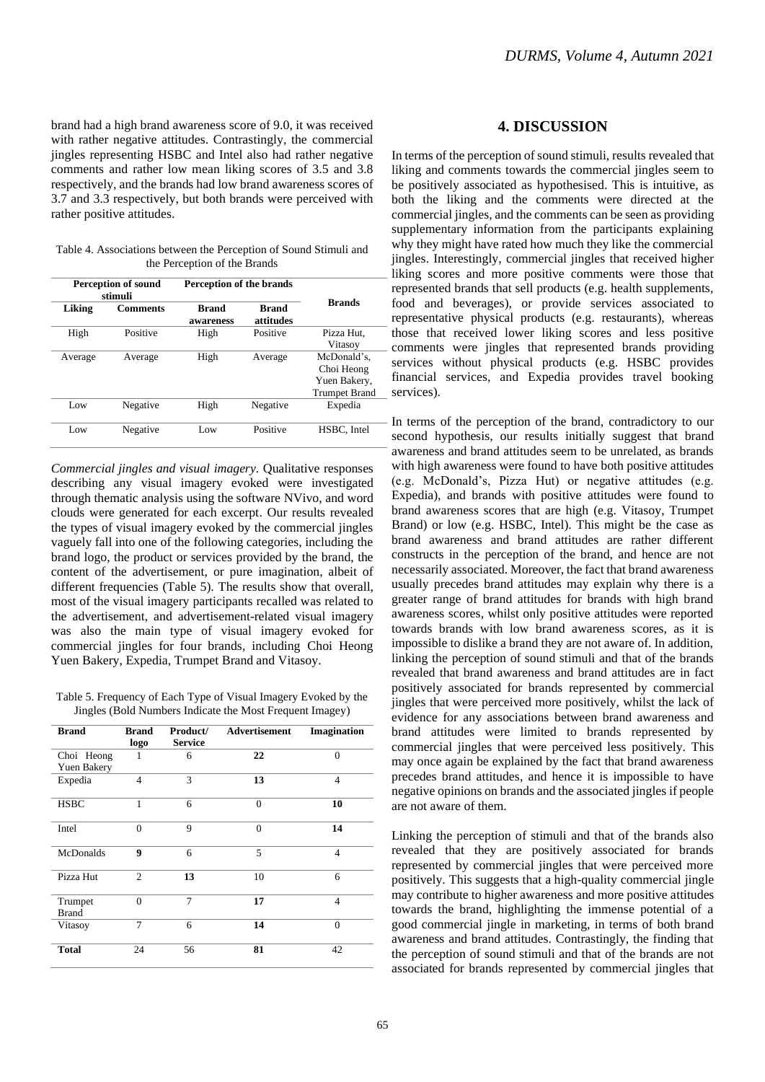brand had a high brand awareness score of 9.0, it was received with rather negative attitudes. Contrastingly, the commercial jingles representing HSBC and Intel also had rather negative comments and rather low mean liking scores of 3.5 and 3.8 respectively, and the brands had low brand awareness scores of 3.7 and 3.3 respectively, but both brands were perceived with rather positive attitudes.

Table 4. Associations between the Perception of Sound Stimuli and the Perception of the Brands

|         | <b>Perception of sound</b><br>stimuli |                           | Perception of the brands  |                      |
|---------|---------------------------------------|---------------------------|---------------------------|----------------------|
| Liking  | <b>Comments</b>                       | <b>Brand</b><br>awareness | <b>Brand</b><br>attitudes | <b>Brands</b>        |
| High    | Positive                              | High                      | Positive                  | Pizza Hut.           |
|         |                                       |                           |                           | Vitasoy              |
| Average | Average                               | High                      | Average                   | McDonald's.          |
|         |                                       |                           |                           | Choi Heong           |
|         |                                       |                           |                           | Yuen Bakery,         |
|         |                                       |                           |                           | <b>Trumpet Brand</b> |
| Low     | Negative                              | High                      | Negative                  | Expedia              |
| Low     | Negative                              | Low                       | Positive                  | HSBC. Intel          |

*Commercial jingles and visual imagery.* Qualitative responses describing any visual imagery evoked were investigated through thematic analysis using the software NVivo, and word clouds were generated for each excerpt. Our results revealed the types of visual imagery evoked by the commercial jingles vaguely fall into one of the following categories, including the brand logo, the product or services provided by the brand, the content of the advertisement, or pure imagination, albeit of different frequencies (Table 5). The results show that overall, most of the visual imagery participants recalled was related to the advertisement, and advertisement-related visual imagery was also the main type of visual imagery evoked for commercial jingles for four brands, including Choi Heong Yuen Bakery, Expedia, Trumpet Brand and Vitasoy.

Table 5. Frequency of Each Type of Visual Imagery Evoked by the Jingles (Bold Numbers Indicate the Most Frequent Imagey)

| <b>Brand</b>            | <b>Brand</b><br>logo | Product/<br><b>Service</b> | Advertisement | Imagination    |
|-------------------------|----------------------|----------------------------|---------------|----------------|
| Choi Heong              | 1                    | 6                          | 22            | $\theta$       |
| <b>Yuen Bakery</b>      |                      |                            |               |                |
| Expedia                 | 4                    | 3                          | 13            | 4              |
| <b>HSBC</b>             | 1                    | 6                          | $\theta$      | 10             |
| Intel                   | $\theta$             | 9                          | $\Omega$      | 14             |
| McDonalds               | 9                    | 6                          | 5             | $\overline{4}$ |
| Pizza Hut               | $\overline{2}$       | 13                         | 10            | 6              |
| Trumpet<br><b>Brand</b> | $\theta$             | 7                          | 17            | 4              |
| Vitasoy                 | 7                    | 6                          | 14            | $\theta$       |
| <b>Total</b>            | 24                   | 56                         | 81            | 42             |

# **4. DISCUSSION**

In terms of the perception of sound stimuli, results revealed that liking and comments towards the commercial jingles seem to be positively associated as hypothesised. This is intuitive, as both the liking and the comments were directed at the commercial jingles, and the comments can be seen as providing supplementary information from the participants explaining why they might have rated how much they like the commercial jingles. Interestingly, commercial jingles that received higher liking scores and more positive comments were those that represented brands that sell products (e.g. health supplements, food and beverages), or provide services associated to representative physical products (e.g. restaurants), whereas those that received lower liking scores and less positive comments were jingles that represented brands providing services without physical products (e.g. HSBC provides financial services, and Expedia provides travel booking services).

In terms of the perception of the brand, contradictory to our second hypothesis, our results initially suggest that brand awareness and brand attitudes seem to be unrelated, as brands with high awareness were found to have both positive attitudes (e.g. McDonald's, Pizza Hut) or negative attitudes (e.g. Expedia), and brands with positive attitudes were found to brand awareness scores that are high (e.g. Vitasoy, Trumpet Brand) or low (e.g. HSBC, Intel). This might be the case as brand awareness and brand attitudes are rather different constructs in the perception of the brand, and hence are not necessarily associated. Moreover, the fact that brand awareness usually precedes brand attitudes may explain why there is a greater range of brand attitudes for brands with high brand awareness scores, whilst only positive attitudes were reported towards brands with low brand awareness scores, as it is impossible to dislike a brand they are not aware of. In addition, linking the perception of sound stimuli and that of the brands revealed that brand awareness and brand attitudes are in fact positively associated for brands represented by commercial jingles that were perceived more positively, whilst the lack of evidence for any associations between brand awareness and brand attitudes were limited to brands represented by commercial jingles that were perceived less positively. This may once again be explained by the fact that brand awareness precedes brand attitudes, and hence it is impossible to have negative opinions on brands and the associated jingles if people are not aware of them.

Linking the perception of stimuli and that of the brands also revealed that they are positively associated for brands represented by commercial jingles that were perceived more positively. This suggests that a high-quality commercial jingle may contribute to higher awareness and more positive attitudes towards the brand, highlighting the immense potential of a good commercial jingle in marketing, in terms of both brand awareness and brand attitudes. Contrastingly, the finding that the perception of sound stimuli and that of the brands are not associated for brands represented by commercial jingles that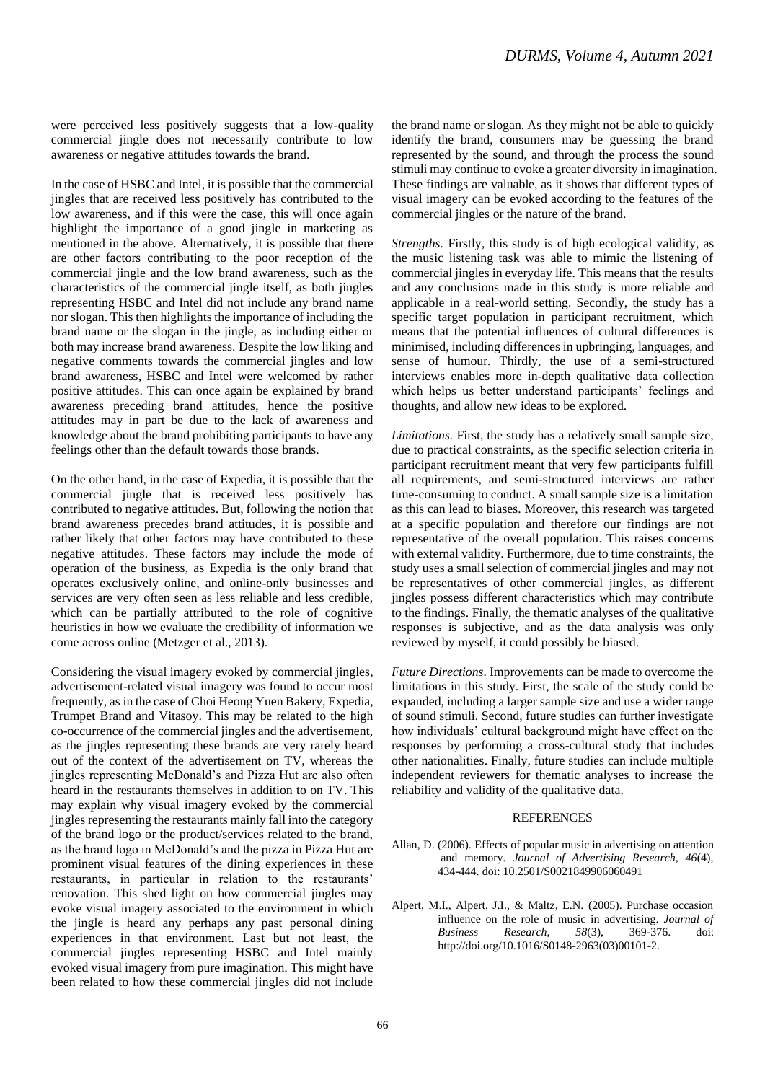were perceived less positively suggests that a low-quality commercial jingle does not necessarily contribute to low awareness or negative attitudes towards the brand.

In the case of HSBC and Intel, it is possible that the commercial jingles that are received less positively has contributed to the low awareness, and if this were the case, this will once again highlight the importance of a good jingle in marketing as mentioned in the above. Alternatively, it is possible that there are other factors contributing to the poor reception of the commercial jingle and the low brand awareness, such as the characteristics of the commercial jingle itself, as both jingles representing HSBC and Intel did not include any brand name nor slogan. This then highlights the importance of including the brand name or the slogan in the jingle, as including either or both may increase brand awareness. Despite the low liking and negative comments towards the commercial jingles and low brand awareness, HSBC and Intel were welcomed by rather positive attitudes. This can once again be explained by brand awareness preceding brand attitudes, hence the positive attitudes may in part be due to the lack of awareness and knowledge about the brand prohibiting participants to have any feelings other than the default towards those brands.

On the other hand, in the case of Expedia, it is possible that the commercial jingle that is received less positively has contributed to negative attitudes. But, following the notion that brand awareness precedes brand attitudes, it is possible and rather likely that other factors may have contributed to these negative attitudes. These factors may include the mode of operation of the business, as Expedia is the only brand that operates exclusively online, and online-only businesses and services are very often seen as less reliable and less credible, which can be partially attributed to the role of cognitive heuristics in how we evaluate the credibility of information we come across online (Metzger et al., 2013).

Considering the visual imagery evoked by commercial jingles, advertisement-related visual imagery was found to occur most frequently, as in the case of Choi Heong Yuen Bakery, Expedia, Trumpet Brand and Vitasoy. This may be related to the high co-occurrence of the commercial jingles and the advertisement, as the jingles representing these brands are very rarely heard out of the context of the advertisement on TV, whereas the jingles representing McDonald's and Pizza Hut are also often heard in the restaurants themselves in addition to on TV. This may explain why visual imagery evoked by the commercial jingles representing the restaurants mainly fall into the category of the brand logo or the product/services related to the brand, as the brand logo in McDonald's and the pizza in Pizza Hut are prominent visual features of the dining experiences in these restaurants, in particular in relation to the restaurants' renovation. This shed light on how commercial jingles may evoke visual imagery associated to the environment in which the jingle is heard any perhaps any past personal dining experiences in that environment. Last but not least, the commercial jingles representing HSBC and Intel mainly evoked visual imagery from pure imagination. This might have been related to how these commercial jingles did not include

the brand name or slogan. As they might not be able to quickly identify the brand, consumers may be guessing the brand represented by the sound, and through the process the sound stimuli may continue to evoke a greater diversity in imagination. These findings are valuable, as it shows that different types of visual imagery can be evoked according to the features of the commercial jingles or the nature of the brand.

*Strengths.* Firstly, this study is of high ecological validity, as the music listening task was able to mimic the listening of commercial jingles in everyday life. This means that the results and any conclusions made in this study is more reliable and applicable in a real-world setting. Secondly, the study has a specific target population in participant recruitment, which means that the potential influences of cultural differences is minimised, including differences in upbringing, languages, and sense of humour. Thirdly, the use of a semi-structured interviews enables more in-depth qualitative data collection which helps us better understand participants' feelings and thoughts, and allow new ideas to be explored.

*Limitations.* First, the study has a relatively small sample size, due to practical constraints, as the specific selection criteria in participant recruitment meant that very few participants fulfill all requirements, and semi-structured interviews are rather time-consuming to conduct. A small sample size is a limitation as this can lead to biases. Moreover, this research was targeted at a specific population and therefore our findings are not representative of the overall population. This raises concerns with external validity. Furthermore, due to time constraints, the study uses a small selection of commercial jingles and may not be representatives of other commercial jingles, as different jingles possess different characteristics which may contribute to the findings. Finally, the thematic analyses of the qualitative responses is subjective, and as the data analysis was only reviewed by myself, it could possibly be biased.

*Future Directions.* Improvements can be made to overcome the limitations in this study. First, the scale of the study could be expanded, including a larger sample size and use a wider range of sound stimuli. Second, future studies can further investigate how individuals' cultural background might have effect on the responses by performing a cross-cultural study that includes other nationalities. Finally, future studies can include multiple independent reviewers for thematic analyses to increase the reliability and validity of the qualitative data.

#### REFERENCES

- Allan, D. (2006). Effects of popular music in advertising on attention and memory. *Journal of Advertising Research, 46*(4), 434-444. doi: 10.2501/S0021849906060491
- Alpert, M.I., Alpert, J.I., & Maltz, E.N. (2005). Purchase occasion influence on the role of music in advertising. *Journal of Business Research, 58*(3), 369-376. doi: http://doi.org/10.1016/S0148-2963(03)00101-2.